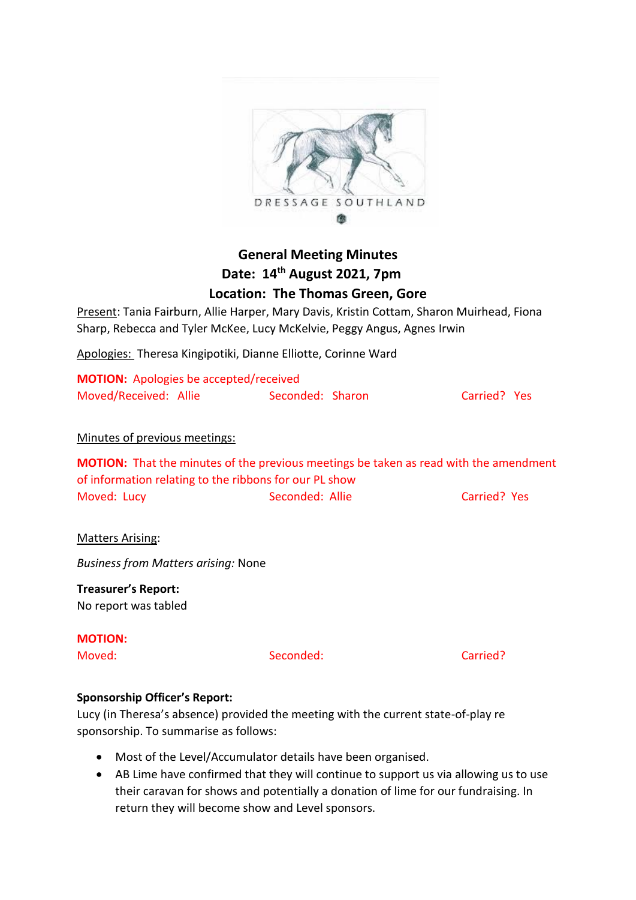

# **General Meeting Minutes Date: 14th August 2021, 7pm Location: The Thomas Green, Gore**

Present: Tania Fairburn, Allie Harper, Mary Davis, Kristin Cottam, Sharon Muirhead, Fiona Sharp, Rebecca and Tyler McKee, Lucy McKelvie, Peggy Angus, Agnes Irwin

Apologies: Theresa Kingipotiki, Dianne Elliotte, Corinne Ward

| <b>MOTION:</b> Apologies be accepted/received |                  |              |  |
|-----------------------------------------------|------------------|--------------|--|
| Moved/Received: Allie                         | Seconded: Sharon | Carried? Yes |  |

## Minutes of previous meetings:

**MOTION:** That the minutes of the previous meetings be taken as read with the amendment of information relating to the ribbons for our PL show Moved: Lucy **Seconded: Allie** Carried? Yes

### Matters Arising:

*Business from Matters arising:* None

**Treasurer's Report:** No report was tabled

**MOTION:** 

Moved: Seconded: Carried?

### **Sponsorship Officer's Report:**

Lucy (in Theresa's absence) provided the meeting with the current state-of-play re sponsorship. To summarise as follows:

- Most of the Level/Accumulator details have been organised.
- AB Lime have confirmed that they will continue to support us via allowing us to use their caravan for shows and potentially a donation of lime for our fundraising. In return they will become show and Level sponsors.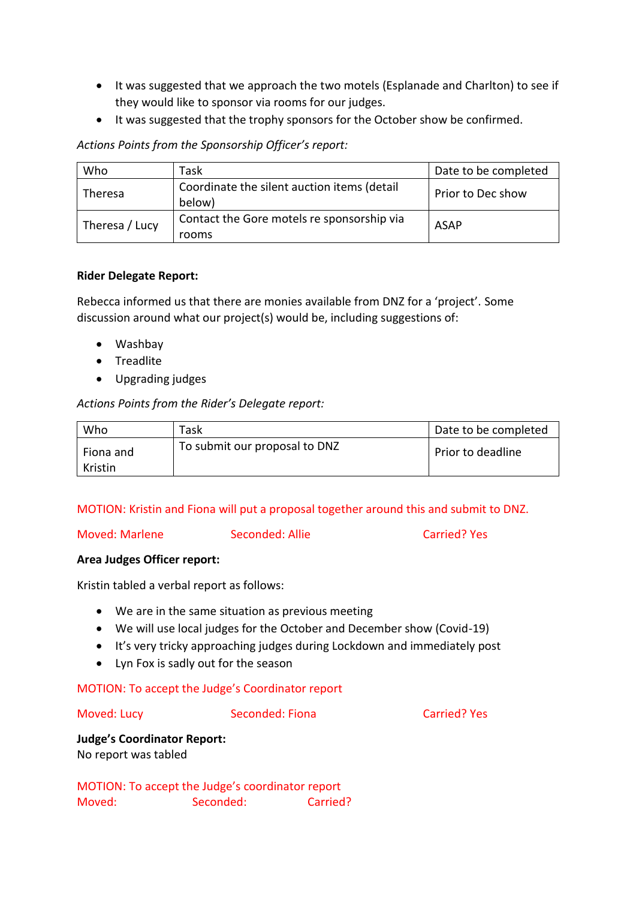- It was suggested that we approach the two motels (Esplanade and Charlton) to see if they would like to sponsor via rooms for our judges.
- It was suggested that the trophy sponsors for the October show be confirmed.

## *Actions Points from the Sponsorship Officer's report:*

| Who            | Task                                                  | Date to be completed |
|----------------|-------------------------------------------------------|----------------------|
| <b>Theresa</b> | Coordinate the silent auction items (detail<br>below) | Prior to Dec show    |
| Theresa / Lucy | Contact the Gore motels re sponsorship via<br>rooms   | <b>ASAP</b>          |

## **Rider Delegate Report:**

Rebecca informed us that there are monies available from DNZ for a 'project'. Some discussion around what our project(s) would be, including suggestions of:

- Washbay
- Treadlite
- Upgrading judges

# *Actions Points from the Rider's Delegate report:*

| Who                  | Task                          | Date to be completed |
|----------------------|-------------------------------|----------------------|
| Fiona and<br>Kristin | To submit our proposal to DNZ | Prior to deadline    |

# MOTION: Kristin and Fiona will put a proposal together around this and submit to DNZ.

Moved: Marlene Seconded: Allie Carried? Yes

# **Area Judges Officer report:**

Kristin tabled a verbal report as follows:

- We are in the same situation as previous meeting
- We will use local judges for the October and December show (Covid-19)
- It's very tricky approaching judges during Lockdown and immediately post
- Lyn Fox is sadly out for the season

# MOTION: To accept the Judge's Coordinator report

Moved: Lucy Seconded: Fiona Carried? Yes

# **Judge's Coordinator Report:** No report was tabled

MOTION: To accept the Judge's coordinator report Moved: Seconded: Carried?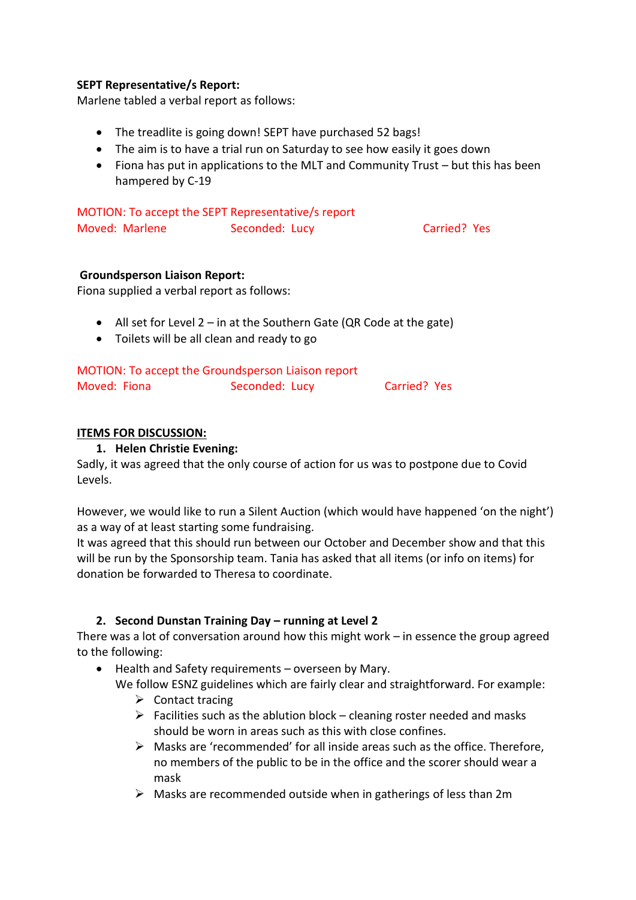## **SEPT Representative/s Report:**

Marlene tabled a verbal report as follows:

- The treadlite is going down! SEPT have purchased 52 bags!
- The aim is to have a trial run on Saturday to see how easily it goes down
- Fiona has put in applications to the MLT and Community Trust but this has been hampered by C-19

| MOTION: To accept the SEPT Representative/s report |                |              |  |
|----------------------------------------------------|----------------|--------------|--|
| Moved: Marlene                                     | Seconded: Lucy | Carried? Yes |  |

### **Groundsperson Liaison Report:**

Fiona supplied a verbal report as follows:

- All set for Level  $2 in$  at the Southern Gate (QR Code at the gate)
- Toilets will be all clean and ready to go

|              | MOTION: To accept the Groundsperson Liaison report |              |  |
|--------------|----------------------------------------------------|--------------|--|
| Moved: Fiona | Seconded: Lucy                                     | Carried? Yes |  |

## **ITEMS FOR DISCUSSION:**

## **1. Helen Christie Evening:**

Sadly, it was agreed that the only course of action for us was to postpone due to Covid Levels.

However, we would like to run a Silent Auction (which would have happened 'on the night') as a way of at least starting some fundraising.

It was agreed that this should run between our October and December show and that this will be run by the Sponsorship team. Tania has asked that all items (or info on items) for donation be forwarded to Theresa to coordinate.

# **2. Second Dunstan Training Day – running at Level 2**

There was a lot of conversation around how this might work – in essence the group agreed to the following:

- Health and Safety requirements overseen by Mary.
	- We follow ESNZ guidelines which are fairly clear and straightforward. For example:
		- $\triangleright$  Contact tracing
		- $\triangleright$  Facilities such as the ablution block cleaning roster needed and masks should be worn in areas such as this with close confines.
		- Masks are 'recommended' for all inside areas such as the office. Therefore, no members of the public to be in the office and the scorer should wear a mask
		- $\triangleright$  Masks are recommended outside when in gatherings of less than 2m